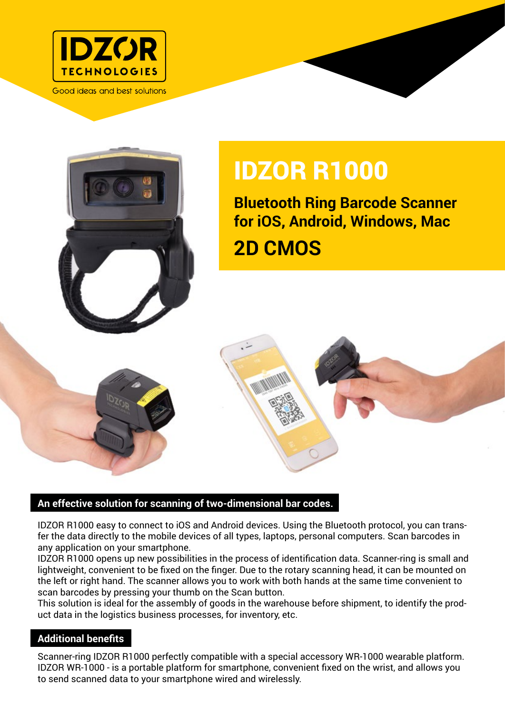

Good ideas and best solutions



## IDZOR R1000

**Bluetooth Ring Barcode Scanner for iOS, Android, Windows, Mac 2D CMOS**

## **An effective solution for scanning of two-dimensional bar codes.**

IDZOR R1000 easy to connect to iOS and Android devices. Using the Bluetooth protocol, you can transfer the data directly to the mobile devices of all types, laptops, personal computers. Scan barcodes in any application on your smartphone.

IDZOR R1000 opens up new possibilities in the process of identification data. Scanner-ring is small and lightweight, convenient to be fixed on the finger. Due to the rotary scanning head, it can be mounted on the left or right hand. The scanner allows you to work with both hands at the same time convenient to scan barcodes by pressing your thumb on the Scan button.

This solution is ideal for the assembly of goods in the warehouse before shipment, to identify the product data in the logistics business processes, for inventory, etc.

## **Additional benefits**

Scanner-ring IDZOR R1000 perfectly compatible with a special accessory WR-1000 wearable platform. IDZOR WR-1000 - is a portable platform for smartphone, convenient fixed on the wrist, and allows you to send scanned data to your smartphone wired and wirelessly.